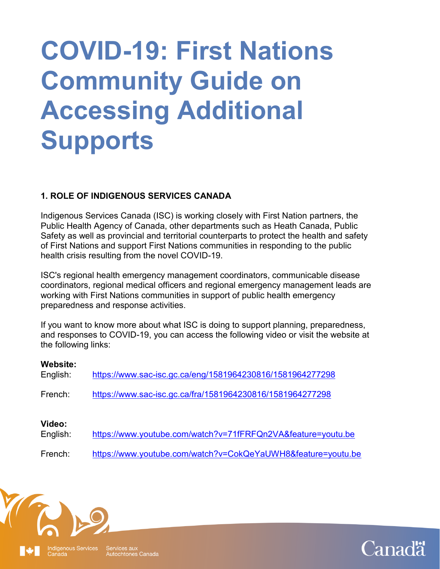# **COVID-19: First Nations Community Guide on Accessing Additional Supports**

# **1. ROLE OF INDIGENOUS SERVICES CANADA**

Indigenous Services Canada (ISC) is working closely with First Nation partners, the Public Health Agency of Canada, other departments such as Heath Canada, Public Safety as well as provincial and territorial counterparts to protect the health and safety of First Nations and support First Nations communities in responding to the public health crisis resulting from the novel COVID-19.

ISC's regional health emergency management coordinators, communicable disease coordinators, regional medical officers and regional emergency management leads are working with First Nations communities in support of public health emergency preparedness and response activities.

If you want to know more about what ISC is doing to support planning, preparedness, and responses to COVID-19, you can access the following video or visit the website at the following links:

#### **Website:**

| <br>English:       | https://www.sac-isc.gc.ca/eng/1581964230816/1581964277298    |
|--------------------|--------------------------------------------------------------|
| French:            | https://www.sac-isc.gc.ca/fra/1581964230816/1581964277298    |
| Video:<br>English: | https://www.youtube.com/watch?v=71fFRFQn2VA&feature=youtu.be |
| French:            | https://www.youtube.com/watch?v=CokQeYaUWH8&feature=youtu.be |



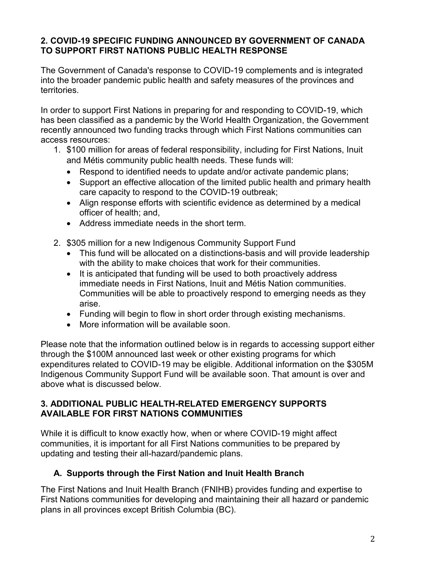# **2. COVID-19 SPECIFIC FUNDING ANNOUNCED BY GOVERNMENT OF CANADA TO SUPPORT FIRST NATIONS PUBLIC HEALTH RESPONSE**

The Government of Canada's response to COVID-19 complements and is integrated into the broader pandemic public health and safety measures of the provinces and territories.

In order to support First Nations in preparing for and responding to COVID-19, which has been classified as a pandemic by the World Health Organization, the Government recently announced two funding tracks through which First Nations communities can access resources:

- 1. \$100 million for areas of federal responsibility, including for First Nations, Inuit and Métis community public health needs. These funds will:
	- Respond to identified needs to update and/or activate pandemic plans;
	- Support an effective allocation of the limited public health and primary health care capacity to respond to the COVID-19 outbreak;
	- Align response efforts with scientific evidence as determined by a medical officer of health; and,
	- Address immediate needs in the short term.
- 2. \$305 million for a new Indigenous Community Support Fund
	- This fund will be allocated on a distinctions-basis and will provide leadership with the ability to make choices that work for their communities.
	- It is anticipated that funding will be used to both proactively address immediate needs in First Nations, Inuit and Métis Nation communities. Communities will be able to proactively respond to emerging needs as they arise.
	- Funding will begin to flow in short order through existing mechanisms.
	- More information will be available soon.

Please note that the information outlined below is in regards to accessing support either through the \$100M announced last week or other existing programs for which expenditures related to COVID-19 may be eligible. Additional information on the \$305M Indigenous Community Support Fund will be available soon. That amount is over and above what is discussed below.

## **3. ADDITIONAL PUBLIC HEALTH-RELATED EMERGENCY SUPPORTS AVAILABLE FOR FIRST NATIONS COMMUNITIES**

While it is difficult to know exactly how, when or where COVID-19 might affect communities, it is important for all First Nations communities to be prepared by updating and testing their all-hazard/pandemic plans.

# **A. Supports through the First Nation and Inuit Health Branch**

The First Nations and Inuit Health Branch (FNIHB) provides funding and expertise to First Nations communities for developing and maintaining their all hazard or pandemic plans in all provinces except British Columbia (BC).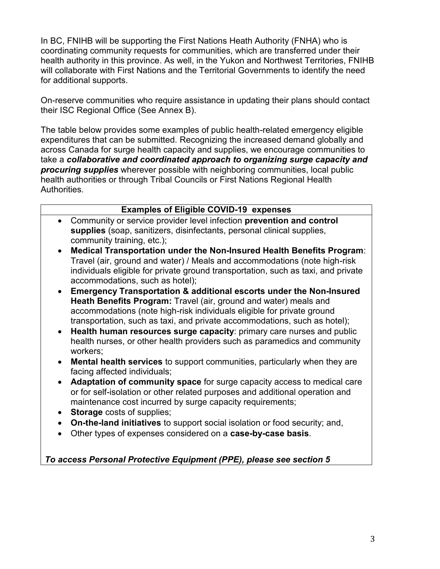In BC, FNIHB will be supporting the First Nations Heath Authority (FNHA) who is coordinating community requests for communities, which are transferred under their health authority in this province. As well, in the Yukon and Northwest Territories, FNIHB will collaborate with First Nations and the Territorial Governments to identify the need for additional supports.

On-reserve communities who require assistance in updating their plans should contact their ISC Regional Office (See Annex B).

The table below provides some examples of public health-related emergency eligible expenditures that can be submitted. Recognizing the increased demand globally and across Canada for surge health capacity and supplies, we encourage communities to take a *collaborative and coordinated approach to organizing surge capacity and procuring supplies* wherever possible with neighboring communities, local public health authorities or through Tribal Councils or First Nations Regional Health Authorities.

## **Examples of Eligible COVID-19 expenses**

- Community or service provider level infection **prevention and control supplies** (soap, sanitizers, disinfectants, personal clinical supplies, community training, etc.);
- **Medical Transportation under the Non-Insured Health Benefits Program**: Travel (air, ground and water) / Meals and accommodations (note high-risk individuals eligible for private ground transportation, such as taxi, and private accommodations, such as hotel);
- **Emergency Transportation & additional escorts under the Non-Insured Heath Benefits Program:** Travel (air, ground and water) meals and accommodations (note high-risk individuals eligible for private ground transportation, such as taxi, and private accommodations, such as hotel);
- **Health human resources surge capacity**: primary care nurses and public health nurses, or other health providers such as paramedics and community workers;
- **Mental health services** to support communities, particularly when they are facing affected individuals;
- **Adaptation of community space** for surge capacity access to medical care or for self-isolation or other related purposes and additional operation and maintenance cost incurred by surge capacity requirements;
- **Storage** costs of supplies;
- **On-the-land initiatives** to support social isolation or food security; and,
- Other types of expenses considered on a **case-by-case basis**.

*To access Personal Protective Equipment (PPE), please see section 5*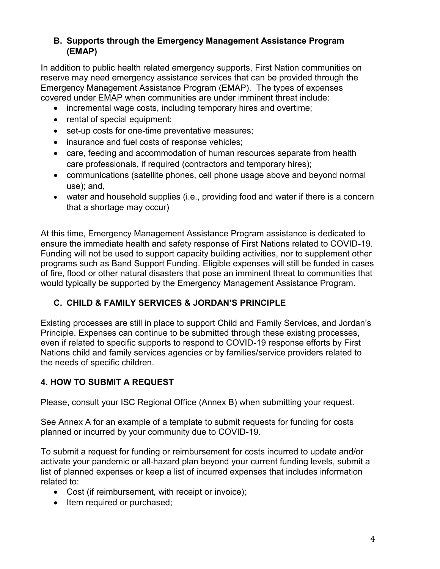# **B. Supports through the Emergency Management Assistance Program (EMAP)**

In addition to public health related emergency supports, First Nation communities on reserve may need emergency assistance services that can be provided through the Emergency Management Assistance Program (EMAP). The types of expenses covered under EMAP when communities are under imminent threat include:

- incremental wage costs, including temporary hires and overtime;
- rental of special equipment:
- set-up costs for one-time preventative measures;
- insurance and fuel costs of response vehicles;
- care, feeding and accommodation of human resources separate from health care professionals, if required (contractors and temporary hires);
- communications (satellite phones, cell phone usage above and beyond normal use); and,
- water and household supplies (i.e., providing food and water if there is a concern that a shortage may occur)

At this time, Emergency Management Assistance Program assistance is dedicated to ensure the immediate health and safety response of First Nations related to COVID-19. Funding will not be used to support capacity building activities, nor to supplement other programs such as Band Support Funding. Eligible expenses will still be funded in cases of fire, flood or other natural disasters that pose an imminent threat to communities that would typically be supported by the Emergency Management Assistance Program.

# **C. CHILD & FAMILY SERVICES & JORDAN'S PRINCIPLE**

Existing processes are still in place to support Child and Family Services, and Jordan's Principle. Expenses can continue to be submitted through these existing processes, even if related to specific supports to respond to COVID-19 response efforts by First Nations child and family services agencies or by families/service providers related to the needs of specific children.

# **4. HOW TO SUBMIT A REQUEST**

Please, consult your ISC Regional Office (Annex B) when submitting your request.

See Annex A for an example of a template to submit requests for funding for costs planned or incurred by your community due to COVID-19.

To submit a request for funding or reimbursement for costs incurred to update and/or activate your pandemic or all-hazard plan beyond your current funding levels, submit a list of planned expenses or keep a list of incurred expenses that includes information related to:

- Cost (if reimbursement, with receipt or invoice);
- Item required or purchased: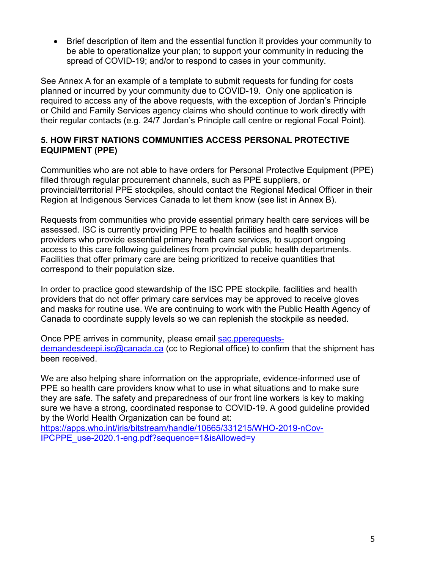Brief description of item and the essential function it provides your community to be able to operationalize your plan; to support your community in reducing the spread of COVID-19; and/or to respond to cases in your community.

See Annex A for an example of a template to submit requests for funding for costs planned or incurred by your community due to COVID-19. Only one application is required to access any of the above requests, with the exception of Jordan's Principle or Child and Family Services agency claims who should continue to work directly with their regular contacts (e.g. 24/7 Jordan's Principle call centre or regional Focal Point).

## **5. HOW FIRST NATIONS COMMUNITIES ACCESS PERSONAL PROTECTIVE EQUIPMENT (PPE)**

Communities who are not able to have orders for Personal Protective Equipment (PPE) filled through regular procurement channels, such as PPE suppliers, or provincial/territorial PPE stockpiles, should contact the Regional Medical Officer in their Region at Indigenous Services Canada to let them know (see list in Annex B).

Requests from communities who provide essential primary health care services will be assessed. ISC is currently providing PPE to health facilities and health service providers who provide essential primary heath care services, to support ongoing access to this care following guidelines from provincial public health departments. Facilities that offer primary care are being prioritized to receive quantities that correspond to their population size.

In order to practice good stewardship of the ISC PPE stockpile, facilities and health providers that do not offer primary care services may be approved to receive gloves and masks for routine use. We are continuing to work with the Public Health Agency of Canada to coordinate supply levels so we can replenish the stockpile as needed.

Once PPE arrives in community, please email [sac.pperequests](mailto:sac.pperequests-demandesdeepi.isc@canada.ca)[demandesdeepi.isc@canada.ca](mailto:sac.pperequests-demandesdeepi.isc@canada.ca) (cc to Regional office) to confirm that the shipment has been received.

We are also helping share information on the appropriate, evidence-informed use of PPE so health care providers know what to use in what situations and to make sure they are safe. The safety and preparedness of our front line workers is key to making sure we have a strong, coordinated response to COVID-19. A good guideline provided by the World Health Organization can be found at:

[https://apps.who.int/iris/bitstream/handle/10665/331215/WHO-2019-nCov-](https://apps.who.int/iris/bitstream/handle/10665/331215/WHO-2019-nCov-IPCPPE_use-2020.1-eng.pdf?sequence=1&isAllowed=y)[IPCPPE\\_use-2020.1-eng.pdf?sequence=1&isAllowed=y](https://apps.who.int/iris/bitstream/handle/10665/331215/WHO-2019-nCov-IPCPPE_use-2020.1-eng.pdf?sequence=1&isAllowed=y)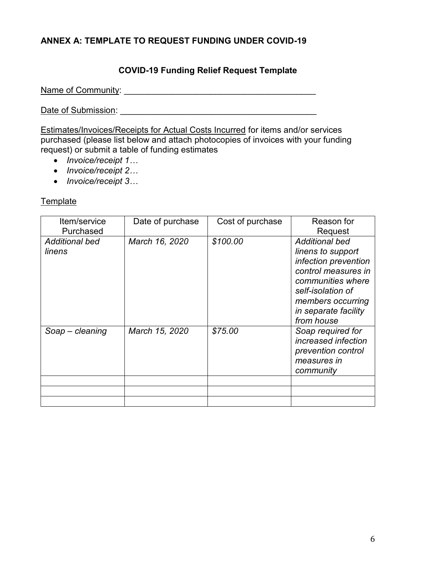# **ANNEX A: TEMPLATE TO REQUEST FUNDING UNDER COVID-19**

# **COVID-19 Funding Relief Request Template**

Name of Community: \_\_\_\_\_\_\_\_\_\_\_\_\_\_\_\_\_\_\_\_\_\_\_\_\_\_\_\_\_\_\_\_\_\_\_\_\_\_\_\_

Date of Submission: \_\_\_\_\_\_\_\_\_\_\_\_\_\_\_\_\_\_\_\_\_\_\_\_\_\_\_\_\_\_\_\_\_\_\_\_\_\_\_\_\_

Estimates/Invoices/Receipts for Actual Costs Incurred for items and/or services purchased (please list below and attach photocopies of invoices with your funding request) or submit a table of funding estimates

- *Invoice/receipt 1…*
- *Invoice/receipt 2…*
- *Invoice/receipt 3…*

### **Template**

| Item/service<br>Purchased       | Date of purchase | Cost of purchase | Reason for<br>Request                                                                                                                                                                          |
|---------------------------------|------------------|------------------|------------------------------------------------------------------------------------------------------------------------------------------------------------------------------------------------|
| <b>Additional bed</b><br>linens | March 16, 2020   | \$100.00         | <b>Additional bed</b><br>linens to support<br>infection prevention<br>control measures in<br>communities where<br>self-isolation of<br>members occurring<br>in separate facility<br>from house |
| Soap – cleaning                 | March 15, 2020   | \$75.00          | Soap required for<br>increased infection<br>prevention control<br>measures in<br>community                                                                                                     |
|                                 |                  |                  |                                                                                                                                                                                                |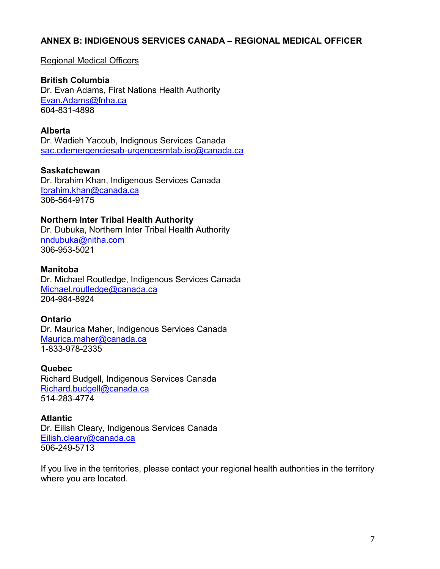### **ANNEX B: INDIGENOUS SERVICES CANADA – REGIONAL MEDICAL OFFICER**

#### Regional Medical Officers

**British Columbia** Dr. Evan Adams, First Nations Health Authority [Evan.Adams@fnha.ca](mailto:Evan.Adams@fnha.ca) 604-831-4898

#### **Alberta**

Dr. Wadieh Yacoub, Indignous Services Canada [sac.cdemergenciesab-urgencesmtab.isc@canada.ca](mailto:sac.cdemergenciesab-urgencesmtab.isc@canada.ca)

#### **Saskatchewan**

Dr. Ibrahim Khan, Indigenous Services Canada [Ibrahim.khan@canada.ca](mailto:Ibrahim.khan@canada.ca) 306-564-9175

#### **Northern Inter Tribal Health Authority**

Dr. Dubuka, Northern Inter Tribal Health Authority [nndubuka@nitha.com](mailto:nndubuka@nitha.com) 306-953-5021

#### **Manitoba**

Dr. Michael Routledge, Indigenous Services Canada [Michael.routledge@canada.ca](mailto:Michael.routledge@canada.ca) 204-984-8924

#### **Ontario**

Dr. Maurica Maher, Indigenous Services Canada [Maurica.maher@canada.ca](mailto:Maurica.maher@canada.ca) 1-833-978-2335

#### **Quebec**

Richard Budgell, Indigenous Services Canada [Richard.budgell@canada.ca](mailto:Richard.budgell@canada.ca) 514-283-4774

#### **Atlantic**

Dr. Eilish Cleary, Indigenous Services Canada [Eilish.cleary@canada.ca](mailto:Eilish.cleary@canada.ca) 506-249-5713

If you live in the territories, please contact your regional health authorities in the territory where you are located.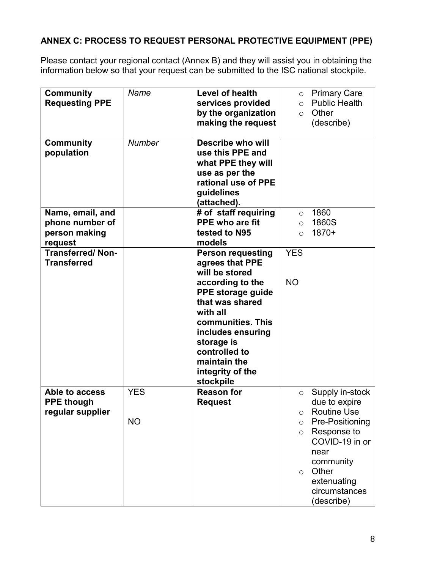# **ANNEX C: PROCESS TO REQUEST PERSONAL PROTECTIVE EQUIPMENT (PPE)**

Please contact your regional contact (Annex B) and they will assist you in obtaining the information below so that your request can be submitted to the ISC national stockpile.

| <b>Community</b><br><b>Requesting PPE</b>                       | Name                    | <b>Level of health</b><br>services provided<br>by the organization<br>making the request                                                                                                                                                                        | $\circ$<br>$\circ$<br>$\circ$                 | <b>Primary Care</b><br><b>Public Health</b><br>Other<br>(describe)                                                                                                                     |
|-----------------------------------------------------------------|-------------------------|-----------------------------------------------------------------------------------------------------------------------------------------------------------------------------------------------------------------------------------------------------------------|-----------------------------------------------|----------------------------------------------------------------------------------------------------------------------------------------------------------------------------------------|
| <b>Community</b><br>population                                  | <b>Number</b>           | Describe who will<br>use this PPE and<br>what PPE they will<br>use as per the<br>rational use of PPE<br>guidelines<br>(attached).                                                                                                                               |                                               |                                                                                                                                                                                        |
| Name, email, and<br>phone number of<br>person making<br>request |                         | # of staff requiring<br><b>PPE who are fit</b><br>tested to N95<br>models                                                                                                                                                                                       | $\circ$<br>$\circ$<br>$\circ$                 | 1860<br>1860S<br>$1870+$                                                                                                                                                               |
| <b>Transferred/Non-</b><br><b>Transferred</b>                   |                         | <b>Person requesting</b><br>agrees that PPE<br>will be stored<br>according to the<br>PPE storage guide<br>that was shared<br>with all<br>communities. This<br>includes ensuring<br>storage is<br>controlled to<br>maintain the<br>integrity of the<br>stockpile | <b>YES</b><br><b>NO</b>                       |                                                                                                                                                                                        |
| Able to access<br><b>PPE though</b><br>regular supplier         | <b>YES</b><br><b>NO</b> | <b>Reason for</b><br><b>Request</b>                                                                                                                                                                                                                             | $\circ$<br>O<br>$\circ$<br>$\circ$<br>$\circ$ | Supply in-stock<br>due to expire<br><b>Routine Use</b><br>Pre-Positioning<br>Response to<br>COVID-19 in or<br>near<br>community<br>Other<br>extenuating<br>circumstances<br>(describe) |